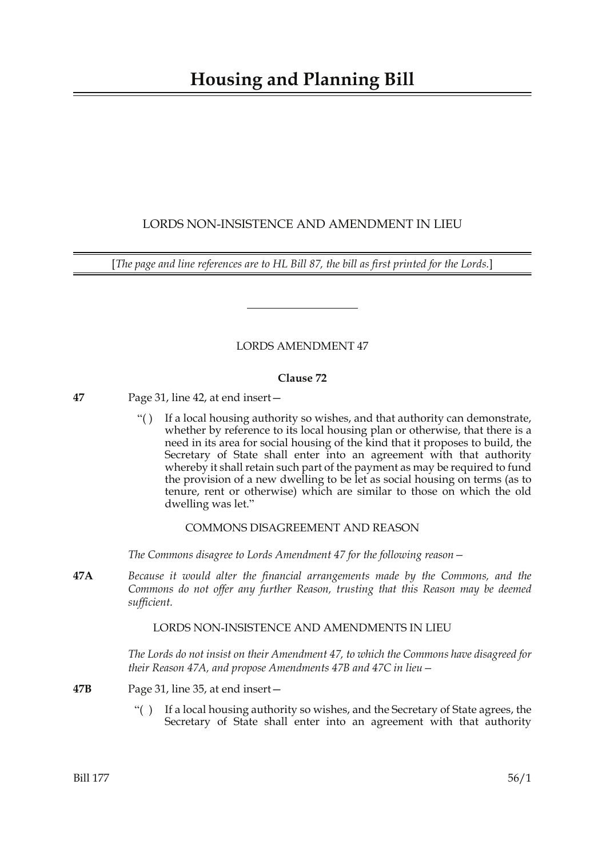# **Housing and Planning Bill**

# LORDS NON-INSISTENCE AND AMENDMENT IN LIEU

[*The page and line references are to HL Bill 87, the bill as first printed for the Lords.*]

## LORDS AMENDMENT 47

#### **Clause 72**

- **47** Page 31, line 42, at end insert—
	- "( ) If a local housing authority so wishes, and that authority can demonstrate, whether by reference to its local housing plan or otherwise, that there is a need in its area for social housing of the kind that it proposes to build, the Secretary of State shall enter into an agreement with that authority whereby it shall retain such part of the payment as may be required to fund the provision of a new dwelling to be let as social housing on terms (as to tenure, rent or otherwise) which are similar to those on which the old dwelling was let."

### COMMONS DISAGREEMENT AND REASON

*The Commons disagree to Lords Amendment 47 for the following reason—*

**47A** *Because it would alter the financial arrangements made by the Commons, and the Commons do not offer any further Reason, trusting that this Reason may be deemed sufficient.*

#### LORDS NON-INSISTENCE AND AMENDMENTS IN LIEU

*The Lords do not insist on their Amendment 47, to which the Commons have disagreed for their Reason 47A, and propose Amendments 47B and 47C in lieu—*

- **47B** Page 31, line 35, at end insert—
	- "( ) If a local housing authority so wishes, and the Secretary of State agrees, the Secretary of State shall enter into an agreement with that authority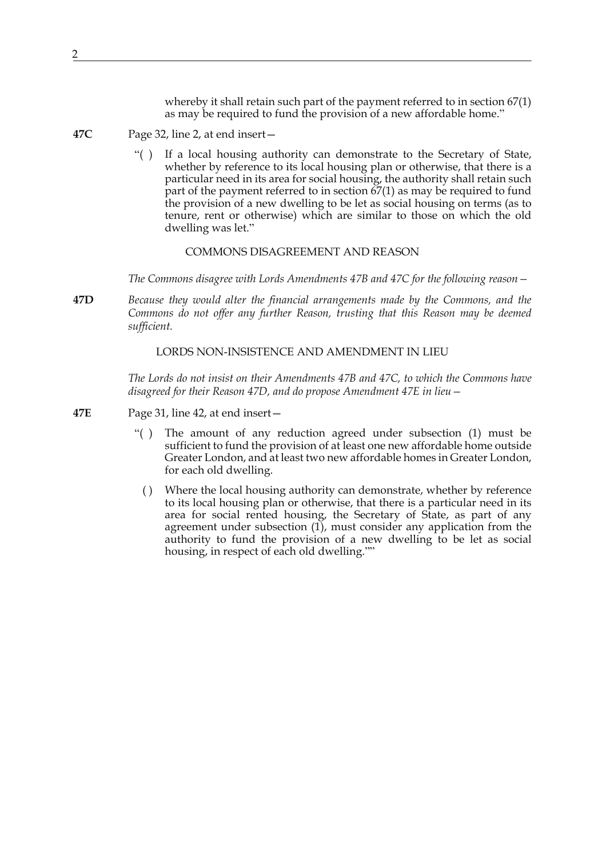whereby it shall retain such part of the payment referred to in section  $67(1)$ as may be required to fund the provision of a new affordable home."

- **47C** Page 32, line 2, at end insert—
	- "( ) If a local housing authority can demonstrate to the Secretary of State, whether by reference to its local housing plan or otherwise, that there is a particular need in its area for social housing, the authority shall retain such part of the payment referred to in section 67(1) as may be required to fund the provision of a new dwelling to be let as social housing on terms (as to tenure, rent or otherwise) which are similar to those on which the old dwelling was let."

COMMONS DISAGREEMENT AND REASON

*The Commons disagree with Lords Amendments 47B and 47C for the following reason—*

**47D** *Because they would alter the financial arrangements made by the Commons, and the Commons do not offer any further Reason, trusting that this Reason may be deemed sufficient.*

LORDS NON-INSISTENCE AND AMENDMENT IN LIEU

*The Lords do not insist on their Amendments 47B and 47C, to which the Commons have disagreed for their Reason 47D, and do propose Amendment 47E in lieu—*

- **47E** Page 31, line 42, at end insert—
	- "( ) The amount of any reduction agreed under subsection (1) must be sufficient to fund the provision of at least one new affordable home outside Greater London, and at least two new affordable homes in Greater London, for each old dwelling.
	- ( ) Where the local housing authority can demonstrate, whether by reference to its local housing plan or otherwise, that there is a particular need in its area for social rented housing, the Secretary of State, as part of any agreement under subsection (1), must consider any application from the authority to fund the provision of a new dwelling to be let as social housing, in respect of each old dwelling.""